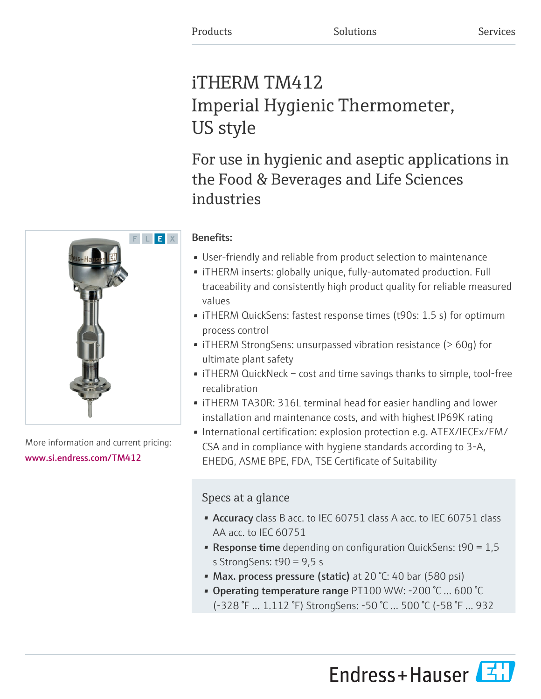# iTHERM TM412 Imperial Hygienic Thermometer, US style

For use in hygienic and aseptic applications in the Food & Beverages and Life Sciences industries

# Benefits:

- User-friendly and reliable from product selection to maintenance
- iTHERM inserts: globally unique, fully-automated production. Full traceability and consistently high product quality for reliable measured values
- iTHERM QuickSens: fastest response times (t90s: 1.5 s) for optimum process control
- iTHERM StrongSens: unsurpassed vibration resistance (> 60g) for ultimate plant safety
- iTHERM QuickNeck cost and time savings thanks to simple, tool-free recalibration
- iTHERM TA30R: 316L terminal head for easier handling and lower installation and maintenance costs, and with highest IP69K rating
- International certification: explosion protection e.g. ATEX/IECEx/FM/ CSA and in compliance with hygiene standards according to 3-A, EHEDG, ASME BPE, FDA, TSE Certificate of Suitability

# Specs at a glance

- Accuracy class B acc. to IEC 60751 class A acc. to IEC 60751 class AA acc. to IEC 60751
- **Response time** depending on configuration QuickSens:  $t90 = 1.5$ s StrongSens: t90 = 9,5 s
- Max. process pressure (static) at 20 °C: 40 bar (580 psi)
- Operating temperature range PT100 WW: -200 °C … 600 °C (-328 °F … 1.112 °F) StrongSens: -50 °C … 500 °C (-58 °F … 932





More information and current pricing: [www.si.endress.com/TM412](https://www.si.endress.com/TM412)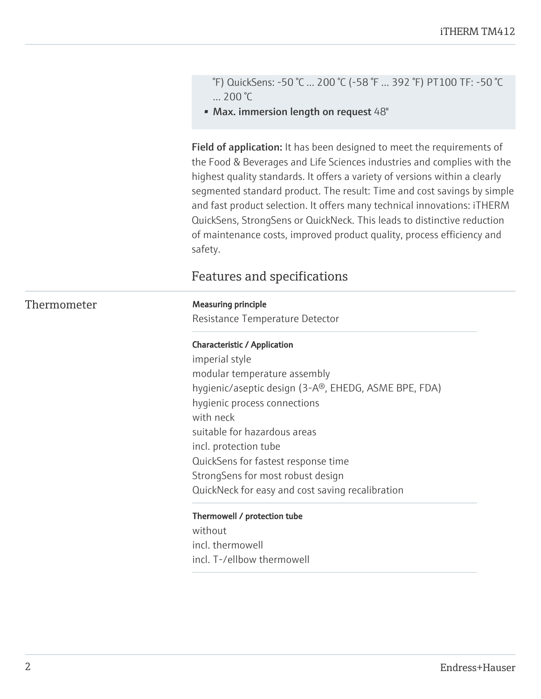°F) QuickSens: -50 °C … 200 °C (-58 °F … 392 °F) PT100 TF: -50 °C … 200 °C

• Max. immersion length on request 48"

Field of application: It has been designed to meet the requirements of the Food & Beverages and Life Sciences industries and complies with the highest quality standards. It offers a variety of versions within a clearly segmented standard product. The result: Time and cost savings by simple and fast product selection. It offers many technical innovations: iTHERM QuickSens, StrongSens or QuickNeck. This leads to distinctive reduction of maintenance costs, improved product quality, process efficiency and safety.

# Features and specifications

#### Thermometer Measuring principle

Resistance Temperature Detector

#### Characteristic / Application

imperial style modular temperature assembly hygienic/aseptic design (3-A®, EHEDG, ASME BPE, FDA) hygienic process connections with neck suitable for hazardous areas incl. protection tube QuickSens for fastest response time StrongSens for most robust design QuickNeck for easy and cost saving recalibration

#### Thermowell / protection tube

without incl. thermowell incl. T-/ellbow thermowell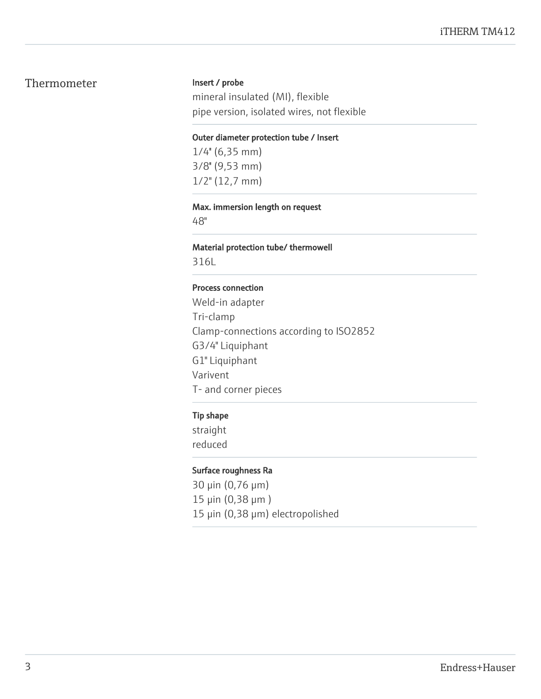# Thermometer

#### Insert / probe

mineral insulated (MI), flexible pipe version, isolated wires, not flexible

#### Outer diameter protection tube / Insert

 $1/4$ " (6,35 mm) 3/8'' (9,53 mm) 1/2" (12,7 mm)

#### Max. immersion length on request

48"

#### Material protection tube/ thermowell

316L

#### Process connection

Weld-in adapter Tri-clamp Clamp-connections according to ISO2852 G3/4" Liquiphant G1" Liquiphant Varivent T- and corner pieces

#### Tip shape

straight reduced

#### Surface roughness Ra

30 μin (0,76 μm) 15 μin (0,38 μm ) 15 μin (0,38 μm) electropolished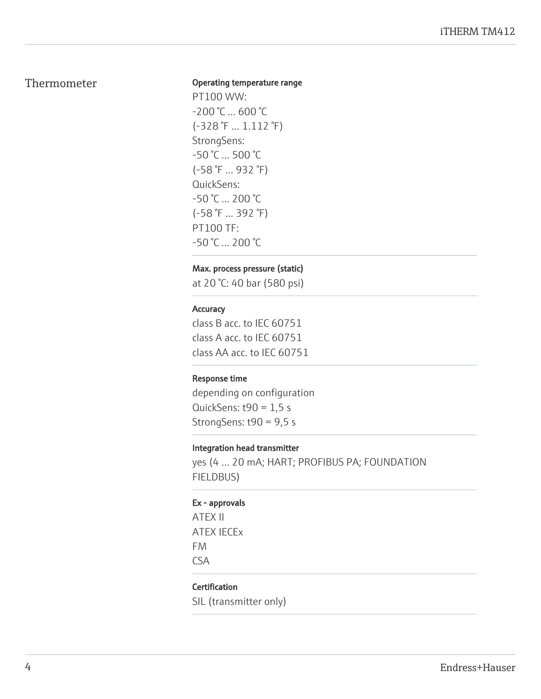### Thermometer

#### Operating temperature range

PT100 WW: -200 °C … 600 °C (-328 °F … 1.112 °F) StrongSens: -50 °C … 500 °C (-58 °F … 932 °F) QuickSens: -50 °C … 200 °C (-58 °F … 392 °F) PT100 TF: -50 °C … 200 °C

#### Max. process pressure (static)

at 20 °C: 40 bar (580 psi)

#### **Accuracy**

class B acc. to IEC 60751 class A acc. to IEC 60751 class AA acc. to IEC 60751

#### Response time

depending on configuration QuickSens:  $t90 = 1.5$  s StrongSens: t90 = 9,5 s

#### Integration head transmitter

yes (4 … 20 mA; HART; PROFIBUS PA; FOUNDATION FIELDBUS)

#### Ex - approvals

ATEX II ATEX IECEx FM CSA

#### **Certification**

SIL (transmitter only)